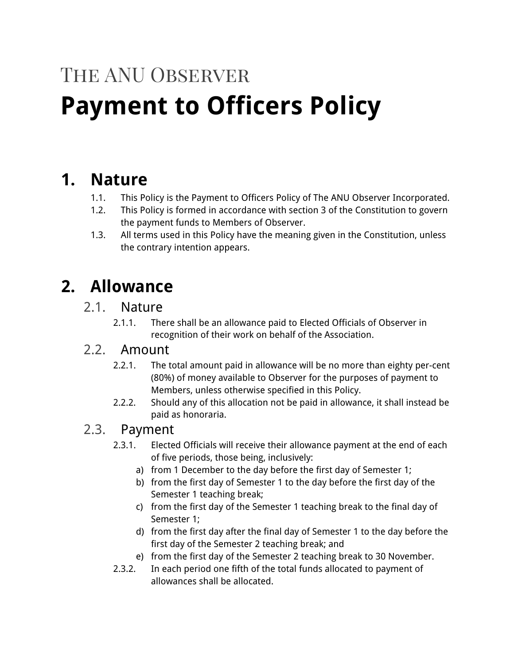# The ANU Observer **Payment to Officers Policy**

## **1. Nature**

- 1.1. This Policy is the Payment to Officers Policy of The ANU Observer Incorporated.
- 1.2. This Policy is formed in accordance with section 3 of the Constitution to govern the payment funds to Members of Observer.
- 1.3. All terms used in this Policy have the meaning given in the Constitution, unless the contrary intention appears.

## **2. Allowance**

#### 2.1. Nature

2.1.1. There shall be an allowance paid to Elected Officials of Observer in recognition of their work on behalf of the Association.

#### 2.2. Amount

- 2.2.1. The total amount paid in allowance will be no more than eighty per-cent (80%) of money available to Observer for the purposes of payment to Members, unless otherwise specified in this Policy.
- 2.2.2. Should any of this allocation not be paid in allowance, it shall instead be paid as honoraria.

#### 2.3. Payment

- 2.3.1. Elected Officials will receive their allowance payment at the end of each of five periods, those being, inclusively:
	- a) from 1 December to the day before the first day of Semester 1;
	- b) from the first day of Semester 1 to the day before the first day of the Semester 1 teaching break;
	- c) from the first day of the Semester 1 teaching break to the final day of Semester 1;
	- d) from the first day after the final day of Semester 1 to the day before the first day of the Semester 2 teaching break; and
	- e) from the first day of the Semester 2 teaching break to 30 November.
- 2.3.2. In each period one fifth of the total funds allocated to payment of allowances shall be allocated.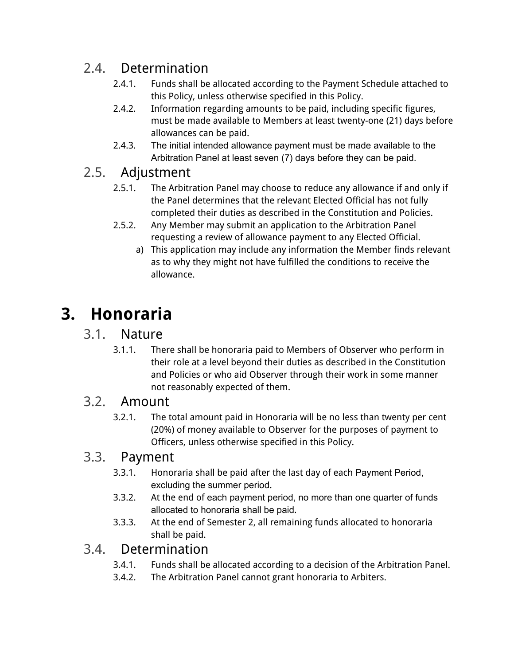## 2.4. Determination

- 2.4.1. Funds shall be allocated according to the Payment Schedule attached to this Policy, unless otherwise specified in this Policy.
- 2.4.2. Information regarding amounts to be paid, including specific figures, must be made available to Members at least twenty-one (21) days before allowances can be paid.
- 2.4.3. The initial intended allowance payment must be made available to the Arbitration Panel at least seven (7) days before they can be paid.

## 2.5. Adjustment

- 2.5.1. The Arbitration Panel may choose to reduce any allowance if and only if the Panel determines that the relevant Elected Official has not fully completed their duties as described in the Constitution and Policies.
- 2.5.2. Any Member may submit an application to the Arbitration Panel requesting a review of allowance payment to any Elected Official.
	- a) This application may include any information the Member finds relevant as to why they might not have fulfilled the conditions to receive the allowance.

# **3. Honoraria**

### 3.1. Nature

3.1.1. There shall be honoraria paid to Members of Observer who perform in their role at a level beyond their duties as described in the Constitution and Policies or who aid Observer through their work in some manner not reasonably expected of them.

### 3.2. Amount

3.2.1. The total amount paid in Honoraria will be no less than twenty per cent (20%) of money available to Observer for the purposes of payment to Officers, unless otherwise specified in this Policy.

### 3.3. Payment

- 3.3.1. Honoraria shall be paid after the last day of each Payment Period, excluding the summer period.
- 3.3.2. At the end of each payment period, no more than one quarter of funds allocated to honoraria shall be paid.
- 3.3.3. At the end of Semester 2, all remaining funds allocated to honoraria shall be paid.

## 3.4. Determination

- 3.4.1. Funds shall be allocated according to a decision of the Arbitration Panel.
- 3.4.2. The Arbitration Panel cannot grant honoraria to Arbiters.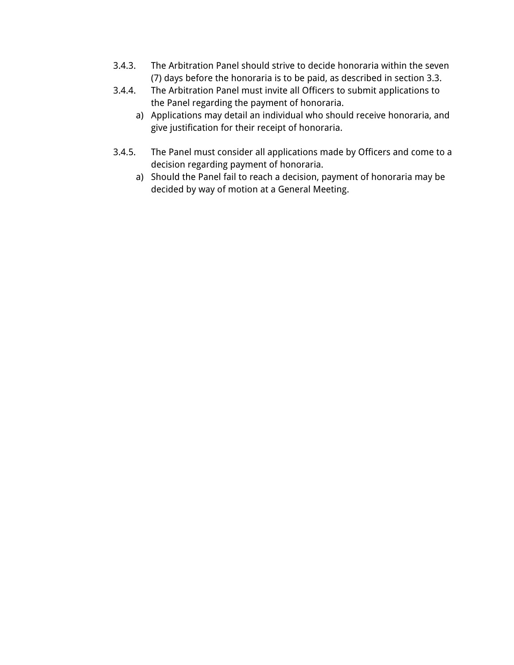- 3.4.3. The Arbitration Panel should strive to decide honoraria within the seven (7) days before the honoraria is to be paid, as described in section 3.3.
- 3.4.4. The Arbitration Panel must invite all Officers to submit applications to the Panel regarding the payment of honoraria.
	- a) Applications may detail an individual who should receive honoraria, and give justification for their receipt of honoraria.
- 3.4.5. The Panel must consider all applications made by Officers and come to a decision regarding payment of honoraria.
	- a) Should the Panel fail to reach a decision, payment of honoraria may be decided by way of motion at a General Meeting.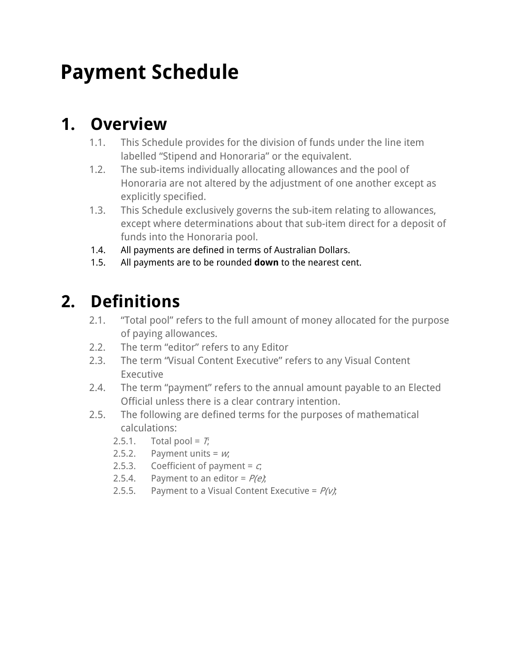# **Payment Schedule**

# **1. Overview**

- 1.1. This Schedule provides for the division of funds under the line item labelled "Stipend and Honoraria" or the equivalent.
- 1.2. The sub-items individually allocating allowances and the pool of Honoraria are not altered by the adjustment of one another except as explicitly specified.
- 1.3. This Schedule exclusively governs the sub-item relating to allowances, except where determinations about that sub-item direct for a deposit of funds into the Honoraria pool.
- 1.4. All payments are defined in terms of Australian Dollars.
- 1.5. All payments are to be rounded **down** to the nearest cent.

# **2. Definitions**

- 2.1. "Total pool" refers to the full amount of money allocated for the purpose of paying allowances.
- 2.2. The term "editor" refers to any Editor
- 2.3. The term "Visual Content Executive" refers to any Visual Content Executive
- 2.4. The term "payment" refers to the annual amount payable to an Elected Official unless there is a clear contrary intention.
- 2.5. The following are defined terms for the purposes of mathematical calculations:
	- 2.5.1. Total pool =  $T_i$
	- 2.5.2. Payment units =  $w_i$
	- 2.5.3. Coefficient of payment =  $c_i$
	- 2.5.4. Payment to an editor =  $P(e)$ ;
	- 2.5.5. Payment to a Visual Content Executive =  $P(v)$ ;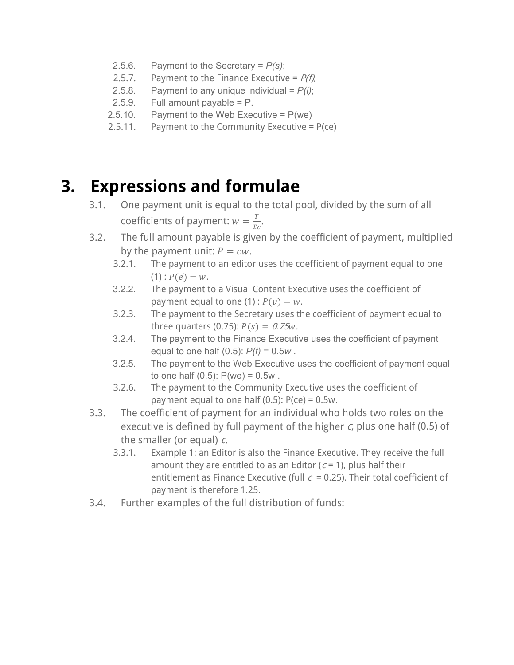- 2.5.6. Payment to the Secretary = *P(s)*;
- 2.5.7. Payment to the Finance Executive =  $P(f)$ ;
- 2.5.8. Payment to any unique individual =  $P(i)$ ;
- 2.5.9. Full amount payable = P.
- 2.5.10. Payment to the Web Executive =  $P(we)$
- 2.5.11. Payment to the Community Executive =  $P(ce)$

## **3. Expressions and formulae**

- 3.1. One payment unit is equal to the total pool, divided by the sum of all coefficients of payment:  $w = \frac{T}{\Sigma c}$ .
- 3.2. The full amount payable is given by the coefficient of payment, multiplied by the payment unit:  $P = cw$ .<br>3.2.1. The payment to an editor
	- The payment to an editor uses the coefficient of payment equal to one  $(1)$ :  $P(e) = w$ .
	- 3.2.2. The payment to a Visual Content Executive uses the coefficient of payment equal to one (1) :  $P(v) = w$ .
	- 3.2.3. The payment to the Secretary uses the coefficient of payment equal to three quarters (0.75):  $P(s) = 0.75w$ .
	- 3.2.4. The payment to the Finance Executive uses the coefficient of payment equal to one half (0.5): *P(f)* = 0.5*w* .
	- 3.2.5. The payment to the Web Executive uses the coefficient of payment equal to one half  $(0.5)$ :  $P(we) = 0.5w$ .
	- 3.2.6. The payment to the Community Executive uses the coefficient of payment equal to one half  $(0.5)$ :  $P(ce) = 0.5w$ .
- 3.3. The coefficient of payment for an individual who holds two roles on the executive is defined by full payment of the higher  $c$ , plus one half (0.5) of the smaller (or equal)  $c$ .
	- 3.3.1. Example 1: an Editor is also the Finance Executive. They receive the full amount they are entitled to as an Editor ( $c = 1$ ), plus half their entitlement as Finance Executive (full  $c = 0.25$ ). Their total coefficient of payment is therefore 1.25.
- 3.4. Further examples of the full distribution of funds: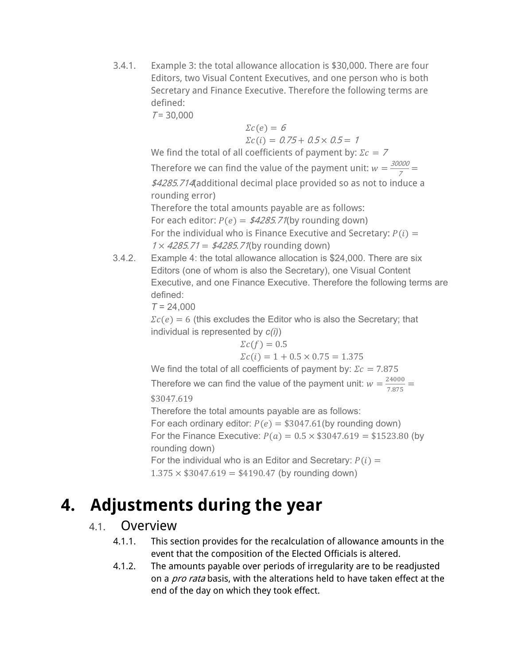3.4.1. Example 3: the total allowance allocation is \$30,000. There are four Editors, two Visual Content Executives, and one person who is both Secretary and Finance Executive. Therefore the following terms are defined:

 $T = 30,000$ 

$$
\Sigma c(e) = 6
$$
  

$$
\Sigma c(i) = 0.75 + 0.5 \times 0.5 = 1
$$

We find the total of all coefficients of payment by:  $\mathfrak{Z}c = \mathfrak{Z}$ 

Therefore we can find the value of the payment unit:  $w = \frac{30000}{7}$ \$4285.714(additional decimal place provided so as not to induce a rounding error) Therefore the total amounts payable are as follows: For each editor:  $P(e) = \frac{\frac{\mathcal{L}}{\mathcal{L}}}{25.71}$  (by rounding down) For the individual who is Finance Executive and Secretary:  $P(i) =$  $1 \times 4285.71 = $4285.71$ (by rounding down)

3.4.2. Example 4: the total allowance allocation is \$24,000. There are six Editors (one of whom is also the Secretary), one Visual Content Executive, and one Finance Executive. Therefore the following terms are defined:

*T* = 24,000

 $\sum c(e) = 6$  (this excludes the Editor who is also the Secretary; that individual is represented by *c(i)*)

$$
\Sigma c(f) = 0.5
$$
  

$$
\Sigma c(i) = 1 + 0.5 \times 0.75 = 1.375
$$

We find the total of all coefficients of payment by:  $\Sigma c = 7.875$ 

Therefore we can find the value of the payment unit:  $w = \frac{24000}{7.875}$ \$3047.619

Therefore the total amounts payable are as follows: For each ordinary editor:  $P(e) = $3047.61$ (by rounding down) For the Finance Executive:  $P(a) = 0.5 \times $3047.619 = $1523.80$  (by rounding down) For the individual who is an Editor and Secretary:  $P(i) =$  $1.375 \times $3047.619 = $4190.47$  (by rounding down)

# **4. Adjustments during the year**

#### 4.1. Overview

- 4.1.1. This section provides for the recalculation of allowance amounts in the event that the composition of the Elected Officials is altered.
- 4.1.2. The amounts payable over periods of irregularity are to be readjusted on a *pro rata* basis, with the alterations held to have taken effect at the end of the day on which they took effect.